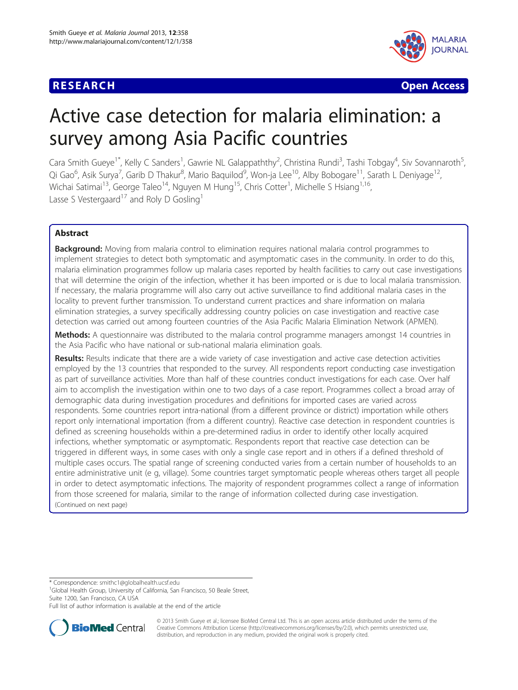# **RESEARCH CHEAR CHEAR CHEAR CHEAR CHEAR CHEAR CHEAR CHEAR CHEAR CHEAR CHEAR CHEAR CHEAR CHEAR CHEAR CHEAR CHEAR**



# Active case detection for malaria elimination: a survey among Asia Pacific countries

Cara Smith Gueye<sup>1\*</sup>, Kelly C Sanders<sup>1</sup>, Gawrie NL Galappaththy<sup>2</sup>, Christina Rundi<sup>3</sup>, Tashi Tobgay<sup>4</sup>, Siv Sovannaroth<sup>5</sup> , Qi Gao<sup>6</sup>, Asik Surya<sup>7</sup>, Garib D Thakur<sup>8</sup>, Mario Baquilod<sup>9</sup>, Won-ja Lee<sup>10</sup>, Alby Bobogare<sup>11</sup>, Sarath L Deniyage<sup>12</sup>, Wichai Satimai<sup>13</sup>, George Taleo<sup>14</sup>, Nguyen M Hung<sup>15</sup>, Chris Cotter<sup>1</sup>, Michelle S Hsiang<sup>1,16</sup>, Lasse S Vestergaard<sup>17</sup> and Roly D Gosling<sup>1</sup>

# Abstract

Background: Moving from malaria control to elimination requires national malaria control programmes to implement strategies to detect both symptomatic and asymptomatic cases in the community. In order to do this, malaria elimination programmes follow up malaria cases reported by health facilities to carry out case investigations that will determine the origin of the infection, whether it has been imported or is due to local malaria transmission. If necessary, the malaria programme will also carry out active surveillance to find additional malaria cases in the locality to prevent further transmission. To understand current practices and share information on malaria elimination strategies, a survey specifically addressing country policies on case investigation and reactive case detection was carried out among fourteen countries of the Asia Pacific Malaria Elimination Network (APMEN).

Methods: A questionnaire was distributed to the malaria control programme managers amongst 14 countries in the Asia Pacific who have national or sub-national malaria elimination goals.

Results: Results indicate that there are a wide variety of case investigation and active case detection activities employed by the 13 countries that responded to the survey. All respondents report conducting case investigation as part of surveillance activities. More than half of these countries conduct investigations for each case. Over half aim to accomplish the investigation within one to two days of a case report. Programmes collect a broad array of demographic data during investigation procedures and definitions for imported cases are varied across respondents. Some countries report intra-national (from a different province or district) importation while others report only international importation (from a different country). Reactive case detection in respondent countries is defined as screening households within a pre-determined radius in order to identify other locally acquired infections, whether symptomatic or asymptomatic. Respondents report that reactive case detection can be triggered in different ways, in some cases with only a single case report and in others if a defined threshold of multiple cases occurs. The spatial range of screening conducted varies from a certain number of households to an entire administrative unit (e g, village). Some countries target symptomatic people whereas others target all people in order to detect asymptomatic infections. The majority of respondent programmes collect a range of information from those screened for malaria, similar to the range of information collected during case investigation. (Continued on next page)

\* Correspondence: [smithc1@globalhealth.ucsf.edu](mailto:smithc1@globalhealth.ucsf.edu) <sup>1</sup>

<sup>1</sup>Global Health Group, University of California, San Francisco, 50 Beale Street, Suite 1200, San Francisco, CA USA

Full list of author information is available at the end of the article



© 2013 Smith Gueye et al.; licensee BioMed Central Ltd. This is an open access article distributed under the terms of the Creative Commons Attribution License (<http://creativecommons.org/licenses/by/2.0>), which permits unrestricted use, distribution, and reproduction in any medium, provided the original work is properly cited.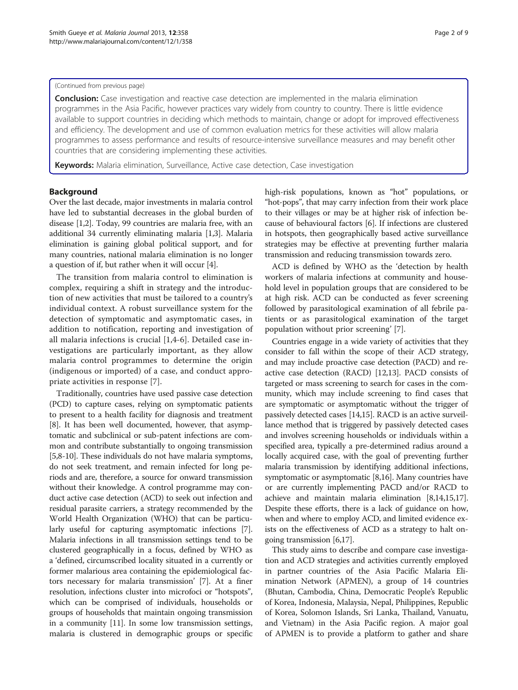#### (Continued from previous page)

Conclusion: Case investigation and reactive case detection are implemented in the malaria elimination programmes in the Asia Pacific, however practices vary widely from country to country. There is little evidence available to support countries in deciding which methods to maintain, change or adopt for improved effectiveness and efficiency. The development and use of common evaluation metrics for these activities will allow malaria programmes to assess performance and results of resource-intensive surveillance measures and may benefit other countries that are considering implementing these activities.

Keywords: Malaria elimination, Surveillance, Active case detection, Case investigation

### Background

Over the last decade, major investments in malaria control have led to substantial decreases in the global burden of disease [[1](#page-8-0),[2](#page-8-0)]. Today, 99 countries are malaria free, with an additional 34 currently eliminating malaria [\[1,3](#page-8-0)]. Malaria elimination is gaining global political support, and for many countries, national malaria elimination is no longer a question of if, but rather when it will occur [[4\]](#page-8-0).

The transition from malaria control to elimination is complex, requiring a shift in strategy and the introduction of new activities that must be tailored to a country's individual context. A robust surveillance system for the detection of symptomatic and asymptomatic cases, in addition to notification, reporting and investigation of all malaria infections is crucial [\[1,4](#page-8-0)-[6](#page-8-0)]. Detailed case investigations are particularly important, as they allow malaria control programmes to determine the origin (indigenous or imported) of a case, and conduct appropriate activities in response [[7\]](#page-8-0).

Traditionally, countries have used passive case detection (PCD) to capture cases, relying on symptomatic patients to present to a health facility for diagnosis and treatment [[8\]](#page-8-0). It has been well documented, however, that asymptomatic and subclinical or sub-patent infections are common and contribute substantially to ongoing transmission [[5,8-10\]](#page-8-0). These individuals do not have malaria symptoms, do not seek treatment, and remain infected for long periods and are, therefore, a source for onward transmission without their knowledge. A control programme may conduct active case detection (ACD) to seek out infection and residual parasite carriers, a strategy recommended by the World Health Organization (WHO) that can be particularly useful for capturing asymptomatic infections [[7](#page-8-0)]. Malaria infections in all transmission settings tend to be clustered geographically in a focus, defined by WHO as a 'defined, circumscribed locality situated in a currently or former malarious area containing the epidemiological factors necessary for malaria transmission' [\[7](#page-8-0)]. At a finer resolution, infections cluster into microfoci or "hotspots", which can be comprised of individuals, households or groups of households that maintain ongoing transmission in a community [\[11\]](#page-8-0). In some low transmission settings, malaria is clustered in demographic groups or specific high-risk populations, known as "hot" populations, or "hot-pops", that may carry infection from their work place to their villages or may be at higher risk of infection because of behavioural factors [\[6\]](#page-8-0). If infections are clustered in hotspots, then geographically based active surveillance strategies may be effective at preventing further malaria transmission and reducing transmission towards zero.

ACD is defined by WHO as the 'detection by health workers of malaria infections at community and household level in population groups that are considered to be at high risk. ACD can be conducted as fever screening followed by parasitological examination of all febrile patients or as parasitological examination of the target population without prior screening' [\[7](#page-8-0)].

Countries engage in a wide variety of activities that they consider to fall within the scope of their ACD strategy, and may include proactive case detection (PACD) and reactive case detection (RACD) [[12,13\]](#page-8-0). PACD consists of targeted or mass screening to search for cases in the community, which may include screening to find cases that are symptomatic or asymptomatic without the trigger of passively detected cases [\[14,15\]](#page-8-0). RACD is an active surveillance method that is triggered by passively detected cases and involves screening households or individuals within a specified area, typically a pre-determined radius around a locally acquired case, with the goal of preventing further malaria transmission by identifying additional infections, symptomatic or asymptomatic [\[8,16\]](#page-8-0). Many countries have or are currently implementing PACD and/or RACD to achieve and maintain malaria elimination [[8,14,15,17](#page-8-0)]. Despite these efforts, there is a lack of guidance on how, when and where to employ ACD, and limited evidence exists on the effectiveness of ACD as a strategy to halt ongoing transmission [[6,17](#page-8-0)].

This study aims to describe and compare case investigation and ACD strategies and activities currently employed in partner countries of the Asia Pacific Malaria Elimination Network (APMEN), a group of 14 countries (Bhutan, Cambodia, China, Democratic People's Republic of Korea, Indonesia, Malaysia, Nepal, Philippines, Republic of Korea, Solomon Islands, Sri Lanka, Thailand, Vanuatu, and Vietnam) in the Asia Pacific region. A major goal of APMEN is to provide a platform to gather and share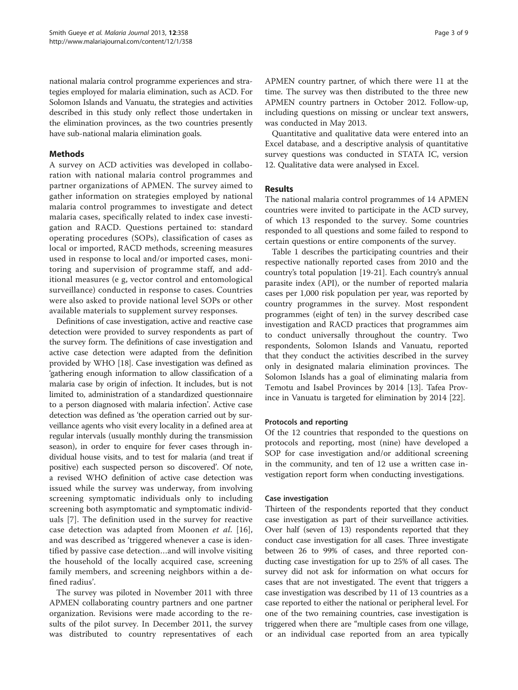national malaria control programme experiences and strategies employed for malaria elimination, such as ACD. For Solomon Islands and Vanuatu, the strategies and activities described in this study only reflect those undertaken in the elimination provinces, as the two countries presently have sub-national malaria elimination goals.

# Methods

A survey on ACD activities was developed in collaboration with national malaria control programmes and partner organizations of APMEN. The survey aimed to gather information on strategies employed by national malaria control programmes to investigate and detect malaria cases, specifically related to index case investigation and RACD. Questions pertained to: standard operating procedures (SOPs), classification of cases as local or imported, RACD methods, screening measures used in response to local and/or imported cases, monitoring and supervision of programme staff, and additional measures (e g, vector control and entomological surveillance) conducted in response to cases. Countries were also asked to provide national level SOPs or other available materials to supplement survey responses.

Definitions of case investigation, active and reactive case detection were provided to survey respondents as part of the survey form. The definitions of case investigation and active case detection were adapted from the definition provided by WHO [\[18](#page-8-0)]. Case investigation was defined as 'gathering enough information to allow classification of a malaria case by origin of infection. It includes, but is not limited to, administration of a standardized questionnaire to a person diagnosed with malaria infection'. Active case detection was defined as 'the operation carried out by surveillance agents who visit every locality in a defined area at regular intervals (usually monthly during the transmission season), in order to enquire for fever cases through individual house visits, and to test for malaria (and treat if positive) each suspected person so discovered'. Of note, a revised WHO definition of active case detection was issued while the survey was underway, from involving screening symptomatic individuals only to including screening both asymptomatic and symptomatic individuals [\[7](#page-8-0)]. The definition used in the survey for reactive case detection was adapted from Moonen *et al.* [[16](#page-8-0)], and was described as 'triggered whenever a case is identified by passive case detection…and will involve visiting the household of the locally acquired case, screening family members, and screening neighbors within a defined radius'.

The survey was piloted in November 2011 with three APMEN collaborating country partners and one partner organization. Revisions were made according to the results of the pilot survey. In December 2011, the survey was distributed to country representatives of each

APMEN country partner, of which there were 11 at the time. The survey was then distributed to the three new APMEN country partners in October 2012. Follow-up, including questions on missing or unclear text answers, was conducted in May 2013.

Quantitative and qualitative data were entered into an Excel database, and a descriptive analysis of quantitative survey questions was conducted in STATA IC, version 12. Qualitative data were analysed in Excel.

# Results

The national malaria control programmes of 14 APMEN countries were invited to participate in the ACD survey, of which 13 responded to the survey. Some countries responded to all questions and some failed to respond to certain questions or entire components of the survey.

Table [1](#page-3-0) describes the participating countries and their respective nationally reported cases from 2010 and the country's total population [[19](#page-8-0)-[21\]](#page-8-0). Each country's annual parasite index (API), or the number of reported malaria cases per 1,000 risk population per year, was reported by country programmes in the survey. Most respondent programmes (eight of ten) in the survey described case investigation and RACD practices that programmes aim to conduct universally throughout the country. Two respondents, Solomon Islands and Vanuatu, reported that they conduct the activities described in the survey only in designated malaria elimination provinces. The Solomon Islands has a goal of eliminating malaria from Temotu and Isabel Provinces by 2014 [\[13](#page-8-0)]. Tafea Province in Vanuatu is targeted for elimination by 2014 [[22\]](#page-8-0).

# Protocols and reporting

Of the 12 countries that responded to the questions on protocols and reporting, most (nine) have developed a SOP for case investigation and/or additional screening in the community, and ten of 12 use a written case investigation report form when conducting investigations.

# Case investigation

Thirteen of the respondents reported that they conduct case investigation as part of their surveillance activities. Over half (seven of 13) respondents reported that they conduct case investigation for all cases. Three investigate between 26 to 99% of cases, and three reported conducting case investigation for up to 25% of all cases. The survey did not ask for information on what occurs for cases that are not investigated. The event that triggers a case investigation was described by 11 of 13 countries as a case reported to either the national or peripheral level. For one of the two remaining countries, case investigation is triggered when there are "multiple cases from one village, or an individual case reported from an area typically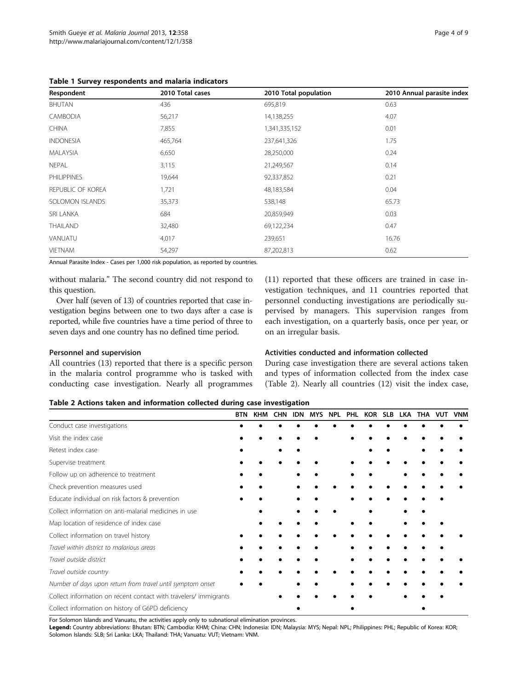<span id="page-3-0"></span>Table 1 Survey respondents and malaria indicators

| Respondent         | 2010 Total cases | 2010 Total population | 2010 Annual parasite index |
|--------------------|------------------|-----------------------|----------------------------|
| <b>BHUTAN</b>      | 436              | 695,819               | 0.63                       |
| CAMBODIA           | 56,217           | 14,138,255            | 4.07                       |
| <b>CHINA</b>       | 7,855            | 1,341,335,152         | 0.01                       |
| <b>INDONESIA</b>   | 465,764          | 237,641,326           | 1.75                       |
| MALAYSIA           | 6,650            | 28,250,000            | 0.24                       |
| NEPAL              | 3,115            | 21,249,567            | 0.14                       |
| <b>PHILIPPINES</b> | 19,644           | 92,337,852            | 0.21                       |
| REPUBLIC OF KOREA  | 1,721            | 48,183,584            | 0.04                       |
| SOLOMON ISLANDS    | 35,373           | 538,148               | 65.73                      |
| SRI LANKA          | 684              | 20,859,949            | 0.03                       |
| THAILAND           | 32,480           | 69,122,234            | 0.47                       |
| VANUATU            | 4,017            | 239,651               | 16.76                      |
| <b>VIETNAM</b>     | 54,297           | 87,202,813            | 0.62                       |

Annual Parasite Index - Cases per 1,000 risk population, as reported by countries.

without malaria." The second country did not respond to this question.

Over half (seven of 13) of countries reported that case investigation begins between one to two days after a case is reported, while five countries have a time period of three to seven days and one country has no defined time period.

# Personnel and supervision

All countries (13) reported that there is a specific person in the malaria control programme who is tasked with conducting case investigation. Nearly all programmes (11) reported that these officers are trained in case investigation techniques, and 11 countries reported that personnel conducting investigations are periodically supervised by managers. This supervision ranges from each investigation, on a quarterly basis, once per year, or on an irregular basis.

# Activities conducted and information collected

During case investigation there are several actions taken and types of information collected from the index case (Table 2). Nearly all countries (12) visit the index case,

#### Table 2 Actions taken and information collected during case investigation

|                                                                  | <b>BTN</b> | <b>KHM</b> | <b>CHN</b> | <b>IDN</b> | <b>MYS</b> | <b>NPL</b> | PHI | KOR | <b>SLB</b> | <b>LKA</b> | THA | VUT | <b>VNM</b> |
|------------------------------------------------------------------|------------|------------|------------|------------|------------|------------|-----|-----|------------|------------|-----|-----|------------|
| Conduct case investigations                                      |            |            |            |            |            |            |     |     |            |            |     |     |            |
| Visit the index case                                             |            |            |            |            |            |            |     |     |            |            |     |     |            |
| Retest index case                                                |            |            |            |            |            |            |     |     |            |            |     |     |            |
| Supervise treatment                                              |            |            |            |            |            |            |     |     |            |            |     |     |            |
| Follow up on adherence to treatment                              |            |            |            |            |            |            |     |     |            |            |     |     |            |
| Check prevention measures used                                   |            |            |            |            |            |            |     |     |            |            |     |     |            |
| Educate individual on risk factors & prevention                  |            |            |            |            |            |            |     |     |            |            |     |     |            |
| Collect information on anti-malarial medicines in use            |            |            |            |            |            |            |     |     |            |            |     |     |            |
| Map location of residence of index case                          |            |            |            |            |            |            |     |     |            |            |     |     |            |
| Collect information on travel history                            |            |            |            |            |            |            |     |     |            |            |     |     |            |
| Travel within district to malarious areas                        |            |            |            |            |            |            |     |     |            |            |     |     |            |
| Travel outside district                                          |            |            |            |            |            |            |     |     |            |            |     |     |            |
| Travel outside country                                           |            |            |            |            |            |            |     |     |            |            |     |     |            |
| Number of days upon return from travel until symptom onset       |            |            |            |            |            |            |     |     |            |            |     |     |            |
| Collect information on recent contact with travelers/ immigrants |            |            |            |            |            |            |     |     |            |            |     |     |            |
| Collect information on history of G6PD deficiency                |            |            |            |            |            |            |     |     |            |            |     |     |            |

For Solomon Islands and Vanuatu, the activities apply only to subnational elimination provinces.

Legend: Country abbreviations: Bhutan: BTN; Cambodia: KHM; China: CHN; Indonesia: IDN; Malaysia: MYS; Nepal: NPL; Philippines: PHL; Republic of Korea: KOR; Solomon Islands: SLB; Sri Lanka: LKA; Thailand: THA; Vanuatu: VUT; Vietnam: VNM.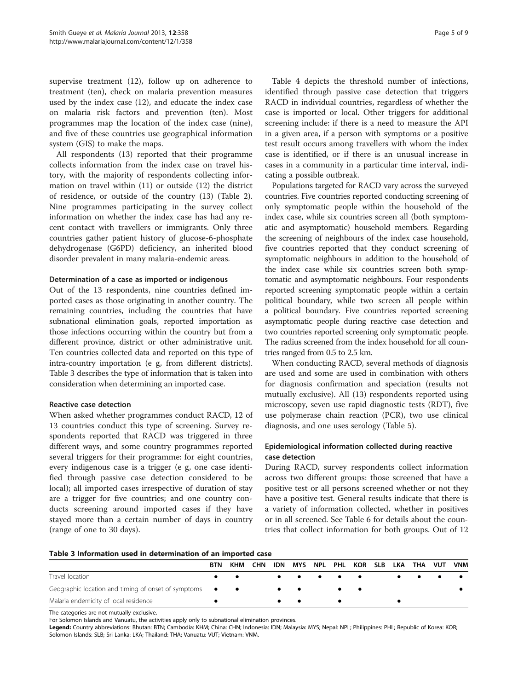supervise treatment (12), follow up on adherence to treatment (ten), check on malaria prevention measures used by the index case (12), and educate the index case on malaria risk factors and prevention (ten). Most programmes map the location of the index case (nine), and five of these countries use geographical information system (GIS) to make the maps.

All respondents (13) reported that their programme collects information from the index case on travel history, with the majority of respondents collecting information on travel within (11) or outside (12) the district of residence, or outside of the country (13) (Table [2](#page-3-0)). Nine programmes participating in the survey collect information on whether the index case has had any recent contact with travellers or immigrants. Only three countries gather patient history of glucose-6-phosphate dehydrogenase (G6PD) deficiency, an inherited blood disorder prevalent in many malaria-endemic areas.

#### Determination of a case as imported or indigenous

Out of the 13 respondents, nine countries defined imported cases as those originating in another country. The remaining countries, including the countries that have subnational elimination goals, reported importation as those infections occurring within the country but from a different province, district or other administrative unit. Ten countries collected data and reported on this type of intra-country importation (e g, from different districts). Table 3 describes the type of information that is taken into consideration when determining an imported case.

# Reactive case detection

When asked whether programmes conduct RACD, 12 of 13 countries conduct this type of screening. Survey respondents reported that RACD was triggered in three different ways, and some country programmes reported several triggers for their programme: for eight countries, every indigenous case is a trigger (e g, one case identified through passive case detection considered to be local); all imported cases irrespective of duration of stay are a trigger for five countries; and one country conducts screening around imported cases if they have stayed more than a certain number of days in country (range of one to 30 days).

Table [4](#page-5-0) depicts the threshold number of infections, identified through passive case detection that triggers RACD in individual countries, regardless of whether the case is imported or local. Other triggers for additional screening include: if there is a need to measure the API in a given area, if a person with symptoms or a positive test result occurs among travellers with whom the index case is identified, or if there is an unusual increase in cases in a community in a particular time interval, indicating a possible outbreak.

Populations targeted for RACD vary across the surveyed countries. Five countries reported conducting screening of only symptomatic people within the household of the index case, while six countries screen all (both symptomatic and asymptomatic) household members. Regarding the screening of neighbours of the index case household, five countries reported that they conduct screening of symptomatic neighbours in addition to the household of the index case while six countries screen both symptomatic and asymptomatic neighbours. Four respondents reported screening symptomatic people within a certain political boundary, while two screen all people within a political boundary. Five countries reported screening asymptomatic people during reactive case detection and two countries reported screening only symptomatic people. The radius screened from the index household for all countries ranged from 0.5 to 2.5 km.

When conducting RACD, several methods of diagnosis are used and some are used in combination with others for diagnosis confirmation and speciation (results not mutually exclusive). All (13) respondents reported using microscopy, seven use rapid diagnostic tests (RDT), five use polymerase chain reaction (PCR), two use clinical diagnosis, and one uses serology (Table [5](#page-5-0)).

# Epidemiological information collected during reactive case detection

During RACD, survey respondents collect information across two different groups: those screened that have a positive test or all persons screened whether or not they have a positive test. General results indicate that there is a variety of information collected, whether in positives or in all screened. See Table [6](#page-6-0) for details about the countries that collect information for both groups. Out of 12

#### Table 3 Information used in determination of an imported case

|                                                                         | <b>BTN</b> | кнм | <b>CHN</b> |           | IDN MYS NPL PHL KOR SLB LKA THA                   |  |  |                     | VUT | <b>VNM</b> |
|-------------------------------------------------------------------------|------------|-----|------------|-----------|---------------------------------------------------|--|--|---------------------|-----|------------|
| Travel location                                                         |            |     |            |           | $\bullet$ $\bullet$ $\bullet$ $\bullet$ $\bullet$ |  |  | $\bullet$ $\bullet$ |     |            |
| Geographic location and timing of onset of symptoms $\bullet$ $\bullet$ |            |     |            | $\bullet$ |                                                   |  |  |                     |     |            |
| Malaria endemicity of local residence                                   |            |     |            |           |                                                   |  |  |                     |     |            |

The categories are not mutually exclusive.

For Solomon Islands and Vanuatu, the activities apply only to subnational elimination provinces.

Legend: Country abbreviations: Bhutan: BTN; Cambodia: KHM; China: CHN; Indonesia: IDN; Malaysia: MYS; Nepal: NPL; Philippines: PHL; Republic of Korea: KOR; Solomon Islands: SLB; Sri Lanka: LKA; Thailand: THA; Vanuatu: VUT; Vietnam: VNM.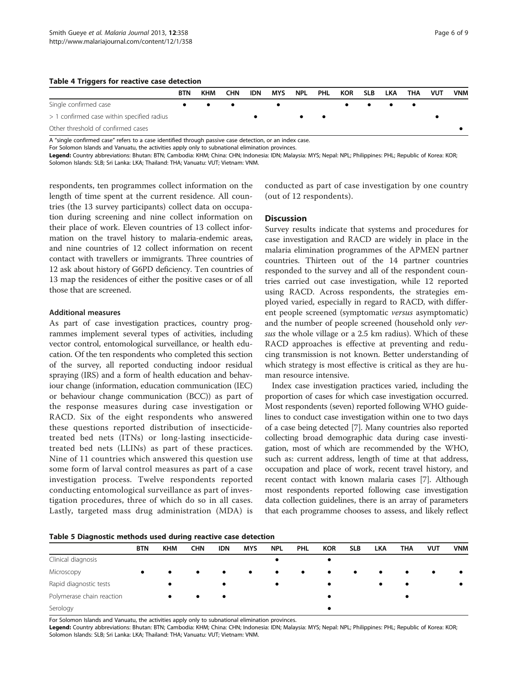<span id="page-5-0"></span>

|                                              | <b>BTN</b> | кнм | <b>CHN</b> | IDN. | MYS |  | NPL PHL KOR | <b>SLB</b> | LKA | THA | <b>VUT</b> | <b>VNM</b> |
|----------------------------------------------|------------|-----|------------|------|-----|--|-------------|------------|-----|-----|------------|------------|
| Single confirmed case                        |            |     |            |      |     |  |             |            |     |     |            |            |
| $>$ 1 confirmed case within specified radius |            |     |            |      |     |  |             |            |     |     |            |            |
| Other threshold of confirmed cases           |            |     |            |      |     |  |             |            |     |     |            |            |

A "single confirmed case" refers to a case identified through passive case detection, or an index case.

For Solomon Islands and Vanuatu, the activities apply only to subnational elimination provinces.

Legend: Country abbreviations: Bhutan: BTN; Cambodia: KHM; China: CHN; Indonesia: IDN; Malaysia: MYS; Nepal: NPL; Philippines: PHL; Republic of Korea: KOR; Solomon Islands: SLB; Sri Lanka: LKA; Thailand: THA; Vanuatu: VUT; Vietnam: VNM.

respondents, ten programmes collect information on the length of time spent at the current residence. All countries (the 13 survey participants) collect data on occupation during screening and nine collect information on their place of work. Eleven countries of 13 collect information on the travel history to malaria-endemic areas, and nine countries of 12 collect information on recent contact with travellers or immigrants. Three countries of 12 ask about history of G6PD deficiency. Ten countries of 13 map the residences of either the positive cases or of all those that are screened.

#### Additional measures

As part of case investigation practices, country programmes implement several types of activities, including vector control, entomological surveillance, or health education. Of the ten respondents who completed this section of the survey, all reported conducting indoor residual spraying (IRS) and a form of health education and behaviour change (information, education communication (IEC) or behaviour change communication (BCC)) as part of the response measures during case investigation or RACD. Six of the eight respondents who answered these questions reported distribution of insecticidetreated bed nets (ITNs) or long-lasting insecticidetreated bed nets (LLINs) as part of these practices. Nine of 11 countries which answered this question use some form of larval control measures as part of a case investigation process. Twelve respondents reported conducting entomological surveillance as part of investigation procedures, three of which do so in all cases. Lastly, targeted mass drug administration (MDA) is

conducted as part of case investigation by one country (out of 12 respondents).

### **Discussion**

Survey results indicate that systems and procedures for case investigation and RACD are widely in place in the malaria elimination programmes of the APMEN partner countries. Thirteen out of the 14 partner countries responded to the survey and all of the respondent countries carried out case investigation, while 12 reported using RACD. Across respondents, the strategies employed varied, especially in regard to RACD, with different people screened (symptomatic versus asymptomatic) and the number of people screened (household only versus the whole village or a 2.5 km radius). Which of these RACD approaches is effective at preventing and reducing transmission is not known. Better understanding of which strategy is most effective is critical as they are human resource intensive.

Index case investigation practices varied, including the proportion of cases for which case investigation occurred. Most respondents (seven) reported following WHO guidelines to conduct case investigation within one to two days of a case being detected [\[7\]](#page-8-0). Many countries also reported collecting broad demographic data during case investigation, most of which are recommended by the WHO, such as: current address, length of time at that address, occupation and place of work, recent travel history, and recent contact with known malaria cases [\[7\]](#page-8-0). Although most respondents reported following case investigation data collection guidelines, there is an array of parameters that each programme chooses to assess, and likely reflect

Table 5 Diagnostic methods used during reactive case detection

| ----<br>---------         |            |            |            |           |            |            |           |            |            |            |           |     |            |  |
|---------------------------|------------|------------|------------|-----------|------------|------------|-----------|------------|------------|------------|-----------|-----|------------|--|
|                           | <b>BTN</b> | <b>KHM</b> | <b>CHN</b> | IDN       | <b>MYS</b> | <b>NPL</b> | PHL       | <b>KOR</b> | <b>SLB</b> | <b>LKA</b> | THA       | VUT | <b>VNM</b> |  |
| Clinical diagnosis        |            |            |            |           |            |            |           |            |            |            |           |     |            |  |
| Microscopy                | $\bullet$  | $\bullet$  | $\bullet$  | $\bullet$ | $\bullet$  | $\bullet$  | $\bullet$ | $\bullet$  | $\bullet$  | ٠          | $\bullet$ | ٠   |            |  |
| Rapid diagnostic tests    |            |            |            |           |            | ٠          |           |            |            |            |           |     |            |  |
| Polymerase chain reaction |            |            | $\bullet$  |           |            |            |           |            |            |            |           |     |            |  |
| Serology                  |            |            |            |           |            |            |           |            |            |            |           |     |            |  |

For Solomon Islands and Vanuatu, the activities apply only to subnational elimination provinces.

Legend: Country abbreviations: Bhutan: BTN; Cambodia: KHM; China: CHN; Indonesia: IDN; Malaysia: MYS; Nepal: NPL; Philippines: PHL; Republic of Korea: KOR; Solomon Islands: SLB; Sri Lanka: LKA; Thailand: THA; Vanuatu: VUT; Vietnam: VNM.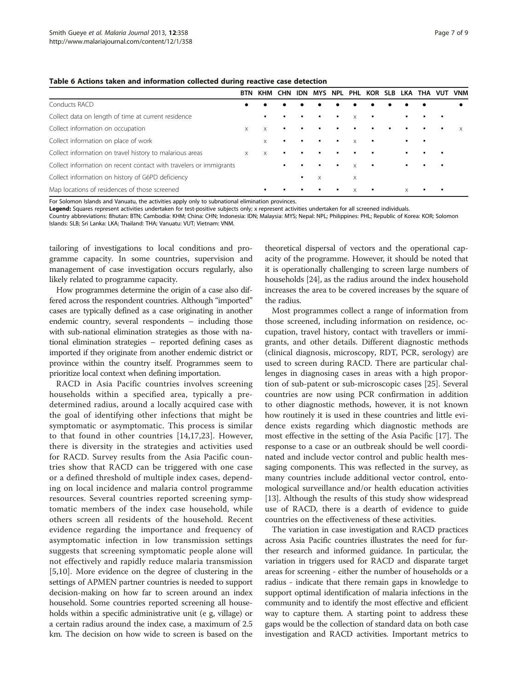#### <span id="page-6-0"></span>Table 6 Actions taken and information collected during reactive case detection

|                                                                    | <b>BTN</b> | кнм      | <b>CHN</b>     | <b>IDN</b>     | MYS NPL PHL    |   |          | KOR SLB        |   |                | LKA THA | VUT | <b>VNM</b> |
|--------------------------------------------------------------------|------------|----------|----------------|----------------|----------------|---|----------|----------------|---|----------------|---------|-----|------------|
| Conducts RACD                                                      |            |          |                |                |                |   |          |                |   |                |         |     |            |
| Collect data on length of time at current residence                |            | ٠        |                |                |                | ٠ | X        | $\blacksquare$ |   | ٠              |         |     |            |
| Collect information on occupation                                  | $\times$   | $\times$ | $\blacksquare$ | $\blacksquare$ |                | ٠ | ٠        | ٠              | ٠ | $\blacksquare$ |         |     |            |
| Collect information on place of work                               |            | X        | $\blacksquare$ |                | $\blacksquare$ | ٠ | $\times$ | $\blacksquare$ |   | ٠              |         |     |            |
| Collect information on travel history to malarious areas           | $\times$   | $\times$ | ٠              |                |                |   |          | . .            |   | ٠.             |         |     |            |
| Collect information on recent contact with travelers or immigrants |            |          |                |                |                | ٠ | X        | $\blacksquare$ |   | ٠              |         |     |            |
| Collect information on history of G6PD deficiency                  |            |          |                | ٠              | $\times$       |   | X        |                |   |                |         |     |            |
| Map locations of residences of those screened                      |            | ٠        |                | $\blacksquare$ | $\blacksquare$ | ٠ | $\times$ | ٠              |   | $\times$       | ٠       |     |            |

For Solomon Islands and Vanuatu, the activities apply only to subnational elimination provinces.

Legend: Squares represent activities undertaken for test-positive subjects only; x represent activities undertaken for all screened individuals.

Country abbreviations: Bhutan: BTN; Cambodia: KHM; China: CHN; Indonesia: IDN; Malaysia: MYS; Nepal: NPL; Philippines: PHL; Republic of Korea: KOR; Solomon Islands: SLB; Sri Lanka: LKA; Thailand: THA; Vanuatu: VUT; Vietnam: VNM.

tailoring of investigations to local conditions and programme capacity. In some countries, supervision and management of case investigation occurs regularly, also likely related to programme capacity.

How programmes determine the origin of a case also differed across the respondent countries. Although "imported" cases are typically defined as a case originating in another endemic country, several respondents – including those with sub-national elimination strategies as those with national elimination strategies – reported defining cases as imported if they originate from another endemic district or province within the country itself. Programmes seem to prioritize local context when defining importation.

RACD in Asia Pacific countries involves screening households within a specified area, typically a predetermined radius, around a locally acquired case with the goal of identifying other infections that might be symptomatic or asymptomatic. This process is similar to that found in other countries [[14,17,23](#page-8-0)]. However, there is diversity in the strategies and activities used for RACD. Survey results from the Asia Pacific countries show that RACD can be triggered with one case or a defined threshold of multiple index cases, depending on local incidence and malaria control programme resources. Several countries reported screening symptomatic members of the index case household, while others screen all residents of the household. Recent evidence regarding the importance and frequency of asymptomatic infection in low transmission settings suggests that screening symptomatic people alone will not effectively and rapidly reduce malaria transmission [[5,10](#page-8-0)]. More evidence on the degree of clustering in the settings of APMEN partner countries is needed to support decision-making on how far to screen around an index household. Some countries reported screening all households within a specific administrative unit (e g, village) or a certain radius around the index case, a maximum of 2.5 km. The decision on how wide to screen is based on the theoretical dispersal of vectors and the operational capacity of the programme. However, it should be noted that it is operationally challenging to screen large numbers of households [\[24](#page-8-0)], as the radius around the index household increases the area to be covered increases by the square of the radius.

Most programmes collect a range of information from those screened, including information on residence, occupation, travel history, contact with travellers or immigrants, and other details. Different diagnostic methods (clinical diagnosis, microscopy, RDT, PCR, serology) are used to screen during RACD. There are particular challenges in diagnosing cases in areas with a high proportion of sub-patent or sub-microscopic cases [\[25](#page-8-0)]. Several countries are now using PCR confirmation in addition to other diagnostic methods, however, it is not known how routinely it is used in these countries and little evidence exists regarding which diagnostic methods are most effective in the setting of the Asia Pacific [\[17\]](#page-8-0). The response to a case or an outbreak should be well coordinated and include vector control and public health messaging components. This was reflected in the survey, as many countries include additional vector control, entomological surveillance and/or health education activities [[13\]](#page-8-0). Although the results of this study show widespread use of RACD, there is a dearth of evidence to guide countries on the effectiveness of these activities.

The variation in case investigation and RACD practices across Asia Pacific countries illustrates the need for further research and informed guidance. In particular, the variation in triggers used for RACD and disparate target areas for screening - either the number of households or a radius - indicate that there remain gaps in knowledge to support optimal identification of malaria infections in the community and to identify the most effective and efficient way to capture them. A starting point to address these gaps would be the collection of standard data on both case investigation and RACD activities. Important metrics to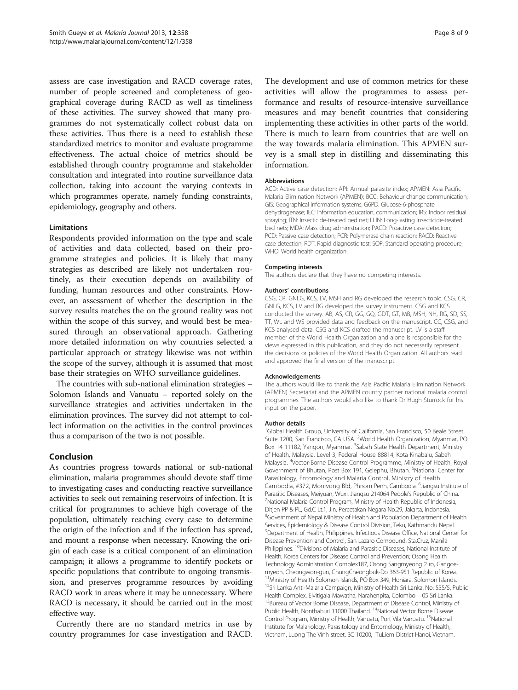assess are case investigation and RACD coverage rates, number of people screened and completeness of geographical coverage during RACD as well as timeliness of these activities. The survey showed that many programmes do not systematically collect robust data on these activities. Thus there is a need to establish these standardized metrics to monitor and evaluate programme effectiveness. The actual choice of metrics should be established through country programme and stakeholder consultation and integrated into routine surveillance data collection, taking into account the varying contexts in which programmes operate, namely funding constraints, epidemiology, geography and others.

#### Limitations

Respondents provided information on the type and scale of activities and data collected, based on their programme strategies and policies. It is likely that many strategies as described are likely not undertaken routinely, as their execution depends on availability of funding, human resources and other constraints. However, an assessment of whether the description in the survey results matches the on the ground reality was not within the scope of this survey, and would best be measured through an observational approach. Gathering more detailed information on why countries selected a particular approach or strategy likewise was not within the scope of the survey, although it is assumed that most base their strategies on WHO surveillance guidelines.

The countries with sub-national elimination strategies – Solomon Islands and Vanuatu – reported solely on the surveillance strategies and activities undertaken in the elimination provinces. The survey did not attempt to collect information on the activities in the control provinces thus a comparison of the two is not possible.

#### Conclusion

As countries progress towards national or sub-national elimination, malaria programmes should devote staff time to investigating cases and conducting reactive surveillance activities to seek out remaining reservoirs of infection. It is critical for programmes to achieve high coverage of the population, ultimately reaching every case to determine the origin of the infection and if the infection has spread, and mount a response when necessary. Knowing the origin of each case is a critical component of an elimination campaign; it allows a programme to identify pockets or specific populations that contribute to ongoing transmission, and preserves programme resources by avoiding RACD work in areas where it may be unnecessary. Where RACD is necessary, it should be carried out in the most effective way.

Currently there are no standard metrics in use by country programmes for case investigation and RACD.

The development and use of common metrics for these activities will allow the programmes to assess performance and results of resource-intensive surveillance measures and may benefit countries that considering implementing these activities in other parts of the world. There is much to learn from countries that are well on the way towards malaria elimination. This APMEN survey is a small step in distilling and disseminating this information.

#### **Abbreviations**

ACD: Active case detection; API: Annual parasite index; APMEN: Asia Pacific Malaria Elimination Network (APMEN); BCC: Behaviour change communication; GIS: Geographical information systems; G6PD: Glucose-6-phosphate dehydrogenase; IEC: Information education, communication; IRS: Indoor residual spraying; ITN: Insecticide-treated bed net; LLIN: Long-lasting insecticide-treated bed nets; MDA: Mass drug administration; PACD: Proactive case detection; PCD: Passive case detection; PCR: Polymerase chain reaction; RACD: Reactive case detection; RDT: Rapid diagnostic test; SOP: Standard operating procedure; WHO: World health organization.

#### Competing interests

The authors declare that they have no competing interests.

#### Authors' contributions

CSG, CR, GNLG, KCS, LV, MSH and RG developed the research topic. CSG, CR, GNLG, KCS, LV and RG developed the survey instrument. CSG and KCS conducted the survey. AB, AS, CR, GG, GQ, GDT, GT, MB, MSH, NH, RG, SD, SS, TT, WL and WS provided data and feedback on the manuscript. CC, CSG, and KCS analysed data. CSG and KCS drafted the manuscript. LV is a staff member of the World Health Organization and alone is responsible for the views expressed in this publication, and they do not necessarily represent the decisions or policies of the World Health Organization. All authors read and approved the final version of the manuscript.

#### Acknowledgements

The authors would like to thank the Asia Pacific Malaria Elimination Network (APMEN) Secretariat and the APMEN country partner national malaria control programmes. The authors would also like to thank Dr Hugh Sturrock for his input on the paper.

#### Author details

<sup>1</sup>Global Health Group, University of California, San Francisco, 50 Beale Street, Suite 1200, San Francisco, CA USA. <sup>2</sup>World Health Organization, Myanmar, PC Box 14 11182, Yangon, Myanmar. <sup>3</sup>Sabah State Health Department, Ministry of Health, Malaysia, Level 3, Federal House 88814, Kota Kinabalu, Sabah Malaysia. <sup>4</sup>Vector-Borne Disease Control Programme, Ministry of Health, Royal Government of Bhutan, Post Box 191, Gelephu, Bhutan. <sup>5</sup>National Center for Parasitology, Entomology and Malaria Control, Ministry of Health Cambodia, #372, Monivong Bld, Phnom Penh, Cambodia. <sup>6</sup>Jiangsu Institute of Parasitic Diseases, Meiyuan, Wuxi, Jiangsu 214064 People's Republic of China. <sup>7</sup> National Malaria Control Program, Ministry of Health Republic of Indonesia, Ditjen PP & PL, Gd.C Lt.1, Jln. Percetakan Negara No.29, Jakarta, Indonesia. <sup>8</sup>Government of Nepal Ministry of Health and Population Department of Health Services, Epidemiology & Disease Control Division, Teku, Kathmandu Nepal. <sup>9</sup>Department of Health, Philippines, Infectious Disease Office, National Center for Disease Prevention and Control, San Lazaro Compound, Sta.Cruz, Manila Philippines. <sup>10</sup>Divisions of Malaria and Parasitic Diseases, National Institute of Health, Korea Centers for Disease Control and Prevention; Osong Health Technology Administration Complex187, Osong Sangmyeong 2 ro, Gangoemyeon, Cheongwon-gun, ChungCheongbuk-Do 363-951 Republic of Korea. <sup>1</sup>Ministry of Health Solomon Islands, PO Box 349, Honiara, Solomon Islands. <sup>12</sup>Sri Lanka Anti-Malaria Campaign, Ministry of Health Sri Lanka, No: 555/5, Public Health Complex, Elvitigala Mawatha, Narahenpita, Colombo – 05 Sri Lanka.<br><sup>13</sup>Bureau of Vector Borne Disease, Department of Disease Control, Ministry of Public Health, Nonthaburi 11000 Thailand. <sup>14</sup>National Vector Borne Disease Control Program, Ministry of Health, Vanuatu, Port Vila Vanuatu. <sup>15</sup>National Institute for Malariology, Parasitology and Entomology, Ministry of Health, Vietnam, Luong The Vinh street, BC 10200, TuLiem District Hanoi, Vietnam.